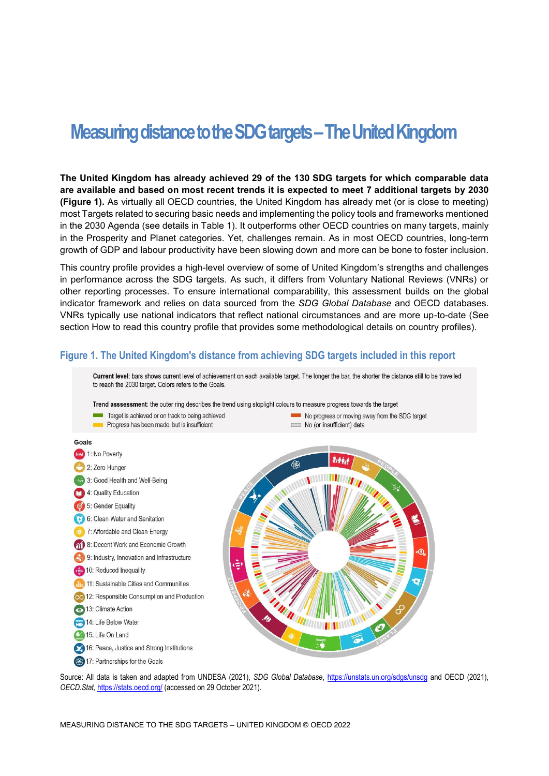# **Measuring distance to the SDG targets – The United Kingdom**

**The United Kingdom has already achieved 29 of the 130 SDG targets for which comparable data are available and based on most recent trends it is expected to meet 7 additional targets by 2030 [\(Figure](#page-0-0) 1).** As virtually all OECD countries, the United Kingdom has already met (or is close to meeting) most Targets related to securing basic needs and implementing the policy tools and frameworks mentioned in the 2030 Agenda (see details in [Table](#page-3-0) 1). It outperforms other OECD countries on many targets, mainly in the Prosperity and Planet categories. Yet, challenges remain. As in most OECD countries, long-term growth of GDP and labour productivity have been slowing down and more can be bone to foster inclusion.

This country profile provides a high-level overview of some of United Kingdom's strengths and challenges in performance across the SDG targets. As such, it differs from Voluntary National Reviews (VNRs) or other reporting processes. To ensure international comparability, this assessment builds on the global indicator framework and relies on data sourced from the *SDG Global Database* and OECD databases. VNRs typically use national indicators that reflect national circumstances and are more up-to-date (See section [How to read this](#page-7-0) country profile that provides some methodological details on country profiles).



<span id="page-0-0"></span>**Figure 1. The United Kingdom's distance from achieving SDG targets included in this report**

Source: All data is taken and adapted from UNDESA (2021), *SDG Global Database*,<https://unstats.un.org/sdgs/unsdg> and OECD (2021), *OECD.Stat,* <https://stats.oecd.org/> (accessed on 29 October 2021).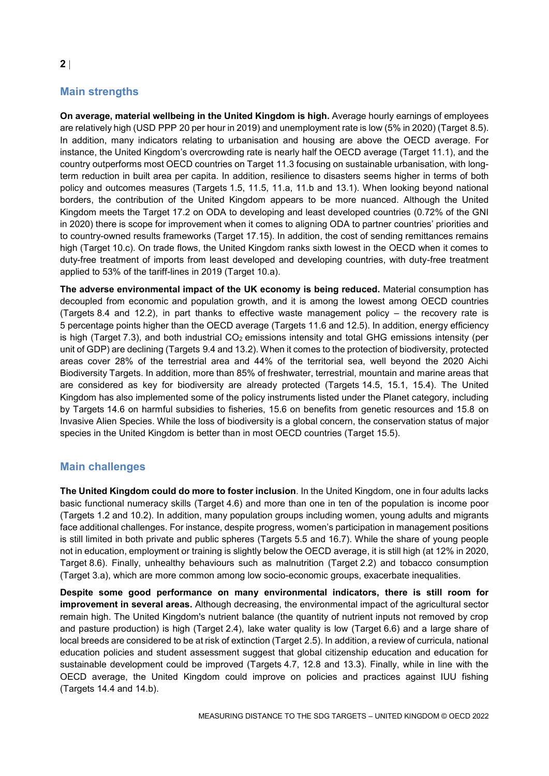# **Main strengths**

**On average, material wellbeing in the United Kingdom is high.** Average hourly earnings of employees are relatively high (USD PPP 20 per hour in 2019) and unemployment rate is low (5% in 2020) (Target 8.5). In addition, many indicators relating to urbanisation and housing are above the OECD average. For instance, the United Kingdom's overcrowding rate is nearly half the OECD average (Target 11.1), and the country outperforms most OECD countries on Target 11.3 focusing on sustainable urbanisation, with longterm reduction in built area per capita. In addition, resilience to disasters seems higher in terms of both policy and outcomes measures (Targets 1.5, 11.5, 11.a, 11.b and 13.1). When looking beyond national borders, the contribution of the United Kingdom appears to be more nuanced. Although the United Kingdom meets the Target 17.2 on ODA to developing and least developed countries (0.72% of the GNI in 2020) there is scope for improvement when it comes to aligning ODA to partner countries' priorities and to country-owned results frameworks (Target 17.15). In addition, the cost of sending remittances remains high (Target 10.c). On trade flows, the United Kingdom ranks sixth lowest in the OECD when it comes to duty-free treatment of imports from least developed and developing countries, with duty-free treatment applied to 53% of the tariff-lines in 2019 (Target 10.a).

**The adverse environmental impact of the UK economy is being reduced.** Material consumption has decoupled from economic and population growth, and it is among the lowest among OECD countries (Targets 8.4 and 12.2), in part thanks to effective waste management policy – the recovery rate is 5 percentage points higher than the OECD average (Targets 11.6 and 12.5). In addition, energy efficiency is high (Target 7.3), and both industrial  $CO<sub>2</sub>$  emissions intensity and total GHG emissions intensity (per unit of GDP) are declining (Targets 9.4 and 13.2). When it comes to the protection of biodiversity, protected areas cover 28% of the terrestrial area and 44% of the territorial sea, well beyond the 2020 Aichi Biodiversity Targets. In addition, more than 85% of freshwater, terrestrial, mountain and marine areas that are considered as key for biodiversity are already protected (Targets 14.5, 15.1, 15.4). The United Kingdom has also implemented some of the policy instruments listed under the Planet category, including by Targets 14.6 on harmful subsidies to fisheries, 15.6 on benefits from genetic resources and 15.8 on Invasive Alien Species. While the loss of biodiversity is a global concern, the conservation status of major species in the United Kingdom is better than in most OECD countries (Target 15.5).

### **Main challenges**

**The United Kingdom could do more to foster inclusion**. In the United Kingdom, one in four adults lacks basic functional numeracy skills (Target 4.6) and more than one in ten of the population is income poor (Targets 1.2 and 10.2). In addition, many population groups including women, young adults and migrants face additional challenges. For instance, despite progress, women's participation in management positions is still limited in both private and public spheres (Targets 5.5 and 16.7). While the share of young people not in education, employment or training is slightly below the OECD average, it is still high (at 12% in 2020, Target 8.6). Finally, unhealthy behaviours such as malnutrition (Target 2.2) and tobacco consumption (Target 3.a), which are more common among low socio-economic groups, exacerbate inequalities.

**Despite some good performance on many environmental indicators, there is still room for improvement in several areas.** Although decreasing, the environmental impact of the agricultural sector remain high. The United Kingdom's nutrient balance (the quantity of nutrient inputs not removed by crop and pasture production) is high (Target 2.4), lake water quality is low (Target 6.6) and a large share of local breeds are considered to be at risk of extinction (Target 2.5). In addition, a review of curricula, national education policies and student assessment suggest that global citizenship education and education for sustainable development could be improved (Targets 4.7, 12.8 and 13.3). Finally, while in line with the OECD average, the United Kingdom could improve on policies and practices against IUU fishing (Targets 14.4 and 14.b).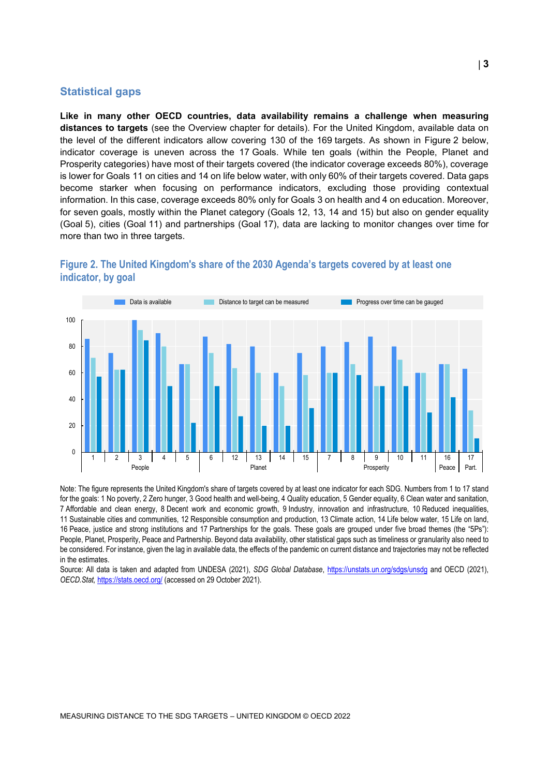#### **Statistical gaps**

 $\Omega$ 

20

40

60

**Like in many other OECD countries, data availability remains a challenge when measuring distances to targets** (see the Overview chapter for details). For the United Kingdom, available data on the level of the different indicators allow covering 130 of the 169 targets. As shown in [Figure](#page-2-0) 2 below, indicator coverage is uneven across the 17 Goals. While ten goals (within the People, Planet and Prosperity categories) have most of their targets covered (the indicator coverage exceeds 80%), coverage is lower for Goals 11 on cities and 14 on life below water, with only 60% of their targets covered. Data gaps become starker when focusing on performance indicators, excluding those providing contextual information. In this case, coverage exceeds 80% only for Goals 3 on health and 4 on education. Moreover, for seven goals, mostly within the Planet category (Goals 12, 13, 14 and 15) but also on gender equality (Goal 5), cities (Goal 11) and partnerships (Goal 17), data are lacking to monitor changes over time for more than two in three targets.



<span id="page-2-0"></span>

Note: The figure represents the United Kingdom's share of targets covered by at least one indicator for each SDG. Numbers from 1 to 17 stand for the goals: 1 No poverty, 2 Zero hunger, 3 Good health and well-being, 4 Quality education, 5 Gender equality, 6 Clean water and sanitation, 7 Affordable and clean energy, 8 Decent work and economic growth, 9 Industry, innovation and infrastructure, 10 Reduced inequalities, 11 Sustainable cities and communities, 12 Responsible consumption and production, 13 Climate action, 14 Life below water, 15 Life on land, 16 Peace, justice and strong institutions and 17 Partnerships for the goals. These goals are grouped under five broad themes (the "5Ps"): People, Planet, Prosperity, Peace and Partnership. Beyond data availability, other statistical gaps such as timeliness or granularity also need to be considered. For instance, given the lag in available data, the effects of the pandemic on current distance and trajectories may not be reflected in the estimates.

1 2 3 4 5 6 12 13 14 15 7 8 9 10 11 16 17

People Peace Part. Planet Prosperity Prosperity Peace Part.

Source: All data is taken and adapted from UNDESA (2021), *SDG Global Database*,<https://unstats.un.org/sdgs/unsdg> and OECD (2021), *OECD.Stat,* <https://stats.oecd.org/> (accessed on 29 October 2021).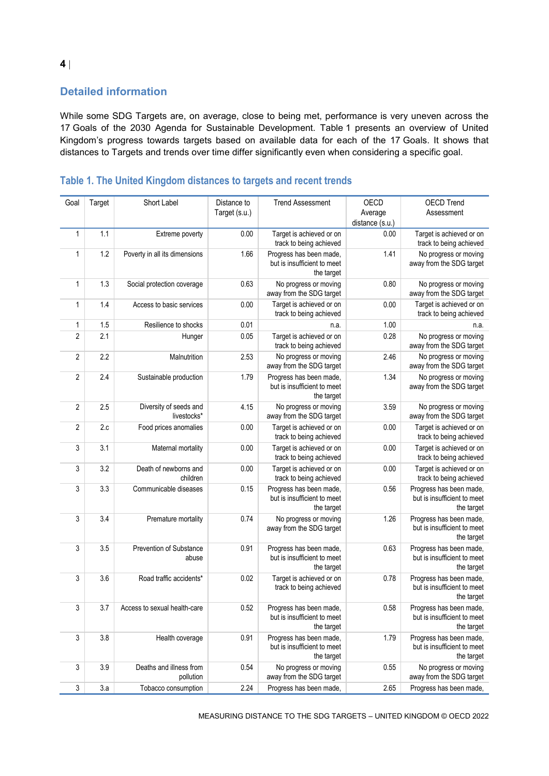## **Detailed information**

While some SDG Targets are, on average, close to being met, performance is very uneven across the 17 Goals of the 2030 Agenda for Sustainable Development. [Table](#page-3-0) 1 presents an overview of United Kingdom's progress towards targets based on available data for each of the 17 Goals. It shows that distances to Targets and trends over time differ significantly even when considering a specific goal.

| Goal           | Target | Short Label                           | Distance to<br>Target (s.u.) | <b>Trend Assessment</b>                                              | <b>OECD</b><br>Average | <b>OECD Trend</b><br>Assessment                                      |
|----------------|--------|---------------------------------------|------------------------------|----------------------------------------------------------------------|------------------------|----------------------------------------------------------------------|
|                |        |                                       |                              |                                                                      | distance (s.u.)        |                                                                      |
| 1              | 1.1    | Extreme poverty                       | 0.00                         | Target is achieved or on<br>track to being achieved                  | 0.00                   | Target is achieved or on<br>track to being achieved                  |
| $\mathbf{1}$   | 1.2    | Poverty in all its dimensions         | 1.66                         | Progress has been made,<br>but is insufficient to meet<br>the target | 1.41                   | No progress or moving<br>away from the SDG target                    |
| $\mathbf{1}$   | 1.3    | Social protection coverage            | 0.63                         | No progress or moving<br>away from the SDG target                    | 0.80                   | No progress or moving<br>away from the SDG target                    |
| $\mathbf{1}$   | 1.4    | Access to basic services              | 0.00                         | Target is achieved or on<br>track to being achieved                  | 0.00                   | Target is achieved or on<br>track to being achieved                  |
| 1              | 1.5    | Resilience to shocks                  | 0.01                         | n.a.                                                                 | 1.00                   | n.a.                                                                 |
| $\overline{2}$ | 2.1    | Hunger                                | 0.05                         | Target is achieved or on<br>track to being achieved                  | 0.28                   | No progress or moving<br>away from the SDG target                    |
| $\sqrt{2}$     | 2.2    | Malnutrition                          | 2.53                         | No progress or moving<br>away from the SDG target                    | 2.46                   | No progress or moving<br>away from the SDG target                    |
| $\overline{2}$ | 2.4    | Sustainable production                | 1.79                         | Progress has been made,<br>but is insufficient to meet<br>the target | 1.34                   | No progress or moving<br>away from the SDG target                    |
| $\overline{2}$ | 2.5    | Diversity of seeds and<br>livestocks* | 4.15                         | No progress or moving<br>away from the SDG target                    | 3.59                   | No progress or moving<br>away from the SDG target                    |
| $\overline{2}$ | 2.c    | Food prices anomalies                 | 0.00                         | Target is achieved or on<br>track to being achieved                  | 0.00                   | Target is achieved or on<br>track to being achieved                  |
| 3              | 3.1    | Maternal mortality                    | 0.00                         | Target is achieved or on<br>track to being achieved                  | 0.00                   | Target is achieved or on<br>track to being achieved                  |
| 3              | 3.2    | Death of newborns and<br>children     | 0.00                         | Target is achieved or on<br>track to being achieved                  | 0.00                   | Target is achieved or on<br>track to being achieved                  |
| 3              | 3.3    | Communicable diseases                 | 0.15                         | Progress has been made,<br>but is insufficient to meet<br>the target | 0.56                   | Progress has been made,<br>but is insufficient to meet<br>the target |
| 3              | 3.4    | Premature mortality                   | 0.74                         | No progress or moving<br>away from the SDG target                    | 1.26                   | Progress has been made,<br>but is insufficient to meet<br>the target |
| 3              | 3.5    | Prevention of Substance<br>abuse      | 0.91                         | Progress has been made,<br>but is insufficient to meet<br>the target | 0.63                   | Progress has been made,<br>but is insufficient to meet<br>the target |
| 3              | 3.6    | Road traffic accidents*               | 0.02                         | Target is achieved or on<br>track to being achieved                  | 0.78                   | Progress has been made,<br>but is insufficient to meet<br>the target |
| 3              | 3.7    | Access to sexual health-care          | 0.52                         | Progress has been made,<br>but is insufficient to meet<br>the target | 0.58                   | Progress has been made,<br>but is insufficient to meet<br>the target |
| $\sqrt{3}$     | 3.8    | Health coverage                       | 0.91                         | Progress has been made,<br>but is insufficient to meet<br>the target | 1.79                   | Progress has been made,<br>but is insufficient to meet<br>the target |
| 3              | 3.9    | Deaths and illness from<br>pollution  | 0.54                         | No progress or moving<br>away from the SDG target                    | 0.55                   | No progress or moving<br>away from the SDG target                    |
| 3              | 3.a    | Tobacco consumption                   | 2.24                         | Progress has been made,                                              | 2.65                   | Progress has been made,                                              |

## <span id="page-3-0"></span>**Table 1. The United Kingdom distances to targets and recent trends**

MEASURING DISTANCE TO THE SDG TARGETS – UNITED KINGDOM © OECD 2022

**4**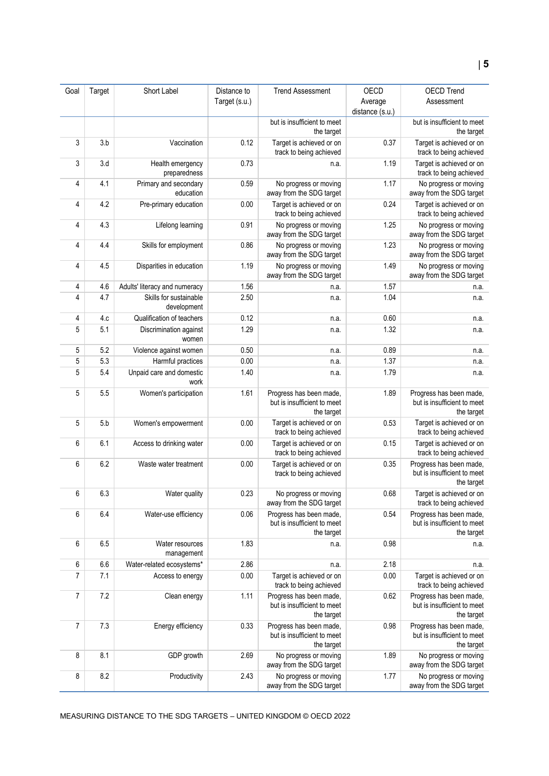| Goal           | Target | Short Label                           | Distance to<br>Target (s.u.) | <b>Trend Assessment</b>                                              | OECD<br>Average<br>distance (s.u.) | <b>OECD Trend</b><br>Assessment                                      |
|----------------|--------|---------------------------------------|------------------------------|----------------------------------------------------------------------|------------------------------------|----------------------------------------------------------------------|
|                |        |                                       |                              | but is insufficient to meet<br>the target                            |                                    | but is insufficient to meet<br>the target                            |
| 3              | 3.b    | Vaccination                           | 0.12                         | Target is achieved or on<br>track to being achieved                  | 0.37                               | Target is achieved or on<br>track to being achieved                  |
| 3              | 3.d    | Health emergency<br>preparedness      | 0.73                         | n.a.                                                                 | 1.19                               | Target is achieved or on<br>track to being achieved                  |
| 4              | 4.1    | Primary and secondary<br>education    | 0.59                         | No progress or moving<br>away from the SDG target                    | 1.17                               | No progress or moving<br>away from the SDG target                    |
| 4              | 4.2    | Pre-primary education                 | 0.00                         | Target is achieved or on<br>track to being achieved                  | 0.24                               | Target is achieved or on<br>track to being achieved                  |
| 4              | 4.3    | Lifelong learning                     | 0.91                         | No progress or moving<br>away from the SDG target                    | 1.25                               | No progress or moving<br>away from the SDG target                    |
| 4              | 4.4    | Skills for employment                 | 0.86                         | No progress or moving<br>away from the SDG target                    | 1.23                               | No progress or moving<br>away from the SDG target                    |
| 4              | 4.5    | Disparities in education              | 1.19                         | No progress or moving<br>away from the SDG target                    | 1.49                               | No progress or moving<br>away from the SDG target                    |
| 4              | 4.6    | Adults' literacy and numeracy         | 1.56                         | n.a.                                                                 | 1.57                               | n.a.                                                                 |
| 4              | 4.7    | Skills for sustainable<br>development | 2.50                         | n.a.                                                                 | 1.04                               | n.a.                                                                 |
| 4              | 4.c    | Qualification of teachers             | 0.12                         | n.a.                                                                 | 0.60                               | n.a.                                                                 |
| 5              | 5.1    | Discrimination against<br>women       | 1.29                         | n.a.                                                                 | 1.32                               | n.a.                                                                 |
| 5              | 5.2    | Violence against women                | 0.50                         | n.a.                                                                 | 0.89                               | n.a.                                                                 |
| 5              | 5.3    | Harmful practices                     | 0.00                         | n.a.                                                                 | 1.37                               | n.a.                                                                 |
| 5              | 5.4    | Unpaid care and domestic<br>work      | 1.40                         | n.a.                                                                 | 1.79                               | n.a.                                                                 |
| 5              | 5.5    | Women's participation                 | 1.61                         | Progress has been made,<br>but is insufficient to meet<br>the target | 1.89                               | Progress has been made,<br>but is insufficient to meet<br>the target |
| 5              | 5.b    | Women's empowerment                   | 0.00                         | Target is achieved or on<br>track to being achieved                  | 0.53                               | Target is achieved or on<br>track to being achieved                  |
| 6              | 6.1    | Access to drinking water              | 0.00                         | Target is achieved or on<br>track to being achieved                  | 0.15                               | Target is achieved or on<br>track to being achieved                  |
| 6              | 6.2    | Waste water treatment                 | 0.00                         | Target is achieved or on<br>track to being achieved                  | 0.35                               | Progress has been made,<br>but is insufficient to meet<br>the target |
| 6              | 6.3    | Water quality                         | 0.23                         | No progress or moving<br>away from the SDG target                    | 0.68                               | Target is achieved or on<br>track to being achieved                  |
| 6              | 6.4    | Water-use efficiency                  | 0.06                         | Progress has been made,<br>but is insufficient to meet<br>the target | 0.54                               | Progress has been made,<br>but is insufficient to meet<br>the target |
| 6              | 6.5    | Water resources<br>management         | 1.83                         | n.a.                                                                 | 0.98                               | n.a.                                                                 |
| 6              | 6.6    | Water-related ecosystems*             | 2.86                         | n.a.                                                                 | 2.18                               | n.a.                                                                 |
| 7              | 7.1    | Access to energy                      | 0.00                         | Target is achieved or on<br>track to being achieved                  | 0.00                               | Target is achieved or on<br>track to being achieved                  |
| $\overline{7}$ | 7.2    | Clean energy                          | 1.11                         | Progress has been made,<br>but is insufficient to meet<br>the target | 0.62                               | Progress has been made,<br>but is insufficient to meet<br>the target |
| 7              | 7.3    | Energy efficiency                     | 0.33                         | Progress has been made,<br>but is insufficient to meet<br>the target | 0.98                               | Progress has been made,<br>but is insufficient to meet<br>the target |
| 8              | 8.1    | GDP growth                            | 2.69                         | No progress or moving<br>away from the SDG target                    | 1.89                               | No progress or moving<br>away from the SDG target                    |
| 8              | 8.2    | Productivity                          | 2.43                         | No progress or moving<br>away from the SDG target                    | 1.77                               | No progress or moving<br>away from the SDG target                    |

MEASURING DISTANCE TO THE SDG TARGETS – UNITED KINGDOM © OECD 2022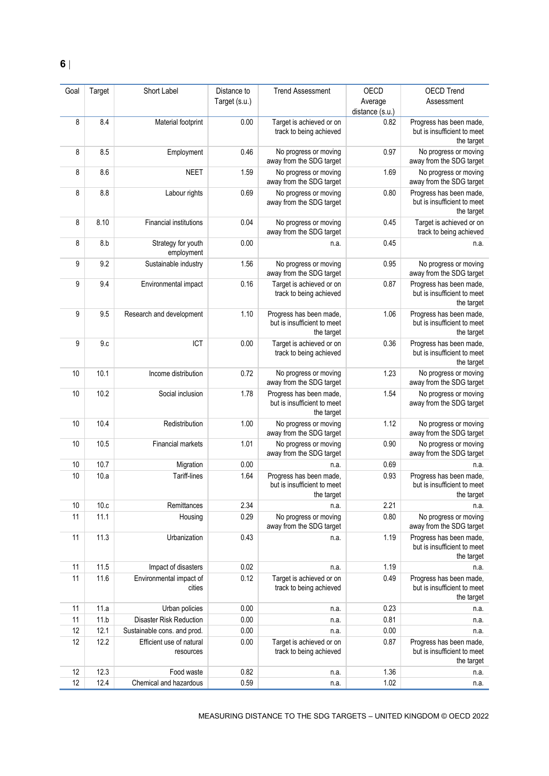| Goal | Target | Short Label                           | Distance to   | <b>Trend Assessment</b>                                              | OECD                       | <b>OECD Trend</b>                                                    |
|------|--------|---------------------------------------|---------------|----------------------------------------------------------------------|----------------------------|----------------------------------------------------------------------|
|      |        |                                       | Target (s.u.) |                                                                      | Average<br>distance (s.u.) | Assessment                                                           |
| 8    | 8.4    | Material footprint                    | 0.00          | Target is achieved or on<br>track to being achieved                  | 0.82                       | Progress has been made,<br>but is insufficient to meet<br>the target |
| 8    | 8.5    | Employment                            | 0.46          | No progress or moving<br>away from the SDG target                    | 0.97                       | No progress or moving<br>away from the SDG target                    |
| 8    | 8.6    | <b>NEET</b>                           | 1.59          | No progress or moving<br>away from the SDG target                    | 1.69                       | No progress or moving<br>away from the SDG target                    |
| 8    | 8.8    | Labour rights                         | 0.69          | No progress or moving<br>away from the SDG target                    | 0.80                       | Progress has been made,<br>but is insufficient to meet<br>the target |
| 8    | 8.10   | <b>Financial institutions</b>         | 0.04          | No progress or moving<br>away from the SDG target                    | 0.45                       | Target is achieved or on<br>track to being achieved                  |
| 8    | 8.b    | Strategy for youth<br>employment      | 0.00          | n.a.                                                                 | 0.45                       | n.a.                                                                 |
| 9    | 9.2    | Sustainable industry                  | 1.56          | No progress or moving<br>away from the SDG target                    | 0.95                       | No progress or moving<br>away from the SDG target                    |
| 9    | 9.4    | Environmental impact                  | 0.16          | Target is achieved or on<br>track to being achieved                  | 0.87                       | Progress has been made,<br>but is insufficient to meet<br>the target |
| 9    | 9.5    | Research and development              | 1.10          | Progress has been made,<br>but is insufficient to meet<br>the target | 1.06                       | Progress has been made,<br>but is insufficient to meet<br>the target |
| 9    | 9.c    | ICT                                   | 0.00          | Target is achieved or on<br>track to being achieved                  | 0.36                       | Progress has been made,<br>but is insufficient to meet<br>the target |
| 10   | 10.1   | Income distribution                   | 0.72          | No progress or moving<br>away from the SDG target                    | 1.23                       | No progress or moving<br>away from the SDG target                    |
| 10   | 10.2   | Social inclusion                      | 1.78          | Progress has been made,<br>but is insufficient to meet<br>the target | 1.54                       | No progress or moving<br>away from the SDG target                    |
| 10   | 10.4   | Redistribution                        | 1.00          | No progress or moving<br>away from the SDG target                    | 1.12                       | No progress or moving<br>away from the SDG target                    |
| 10   | 10.5   | Financial markets                     | 1.01          | No progress or moving<br>away from the SDG target                    | 0.90                       | No progress or moving<br>away from the SDG target                    |
| 10   | 10.7   | Migration                             | 0.00          | n.a.                                                                 | 0.69                       | n.a.                                                                 |
| 10   | 10.a   | Tariff-lines                          | 1.64          | Progress has been made,<br>but is insufficient to meet<br>the target | 0.93                       | Progress has been made,<br>but is insufficient to meet<br>the target |
| 10   | 10.c   | Remittances                           | 2.34          | n.a.                                                                 | 2.21                       | n.a.                                                                 |
| 11   | 11.1   | Housing                               | 0.29          | No progress or moving<br>away from the SDG target                    | 0.80                       | No progress or moving<br>away from the SDG target                    |
| 11   | 11.3   | Urbanization                          | 0.43          | n.a.                                                                 | 1.19                       | Progress has been made,<br>but is insufficient to meet<br>the target |
| 11   | 11.5   | Impact of disasters                   | 0.02          | n.a.                                                                 | 1.19                       | n.a.                                                                 |
| 11   | 11.6   | Environmental impact of<br>cities     | 0.12          | Target is achieved or on<br>track to being achieved                  | 0.49                       | Progress has been made,<br>but is insufficient to meet<br>the target |
| 11   | 11.a   | Urban policies                        | 0.00          | n.a.                                                                 | 0.23                       | n.a.                                                                 |
| 11   | 11.b   | <b>Disaster Risk Reduction</b>        | 0.00          | n.a.                                                                 | 0.81                       | n.a.                                                                 |
| 12   | 12.1   | Sustainable cons. and prod.           | 0.00          | n.a.                                                                 | 0.00                       | n.a.                                                                 |
| 12   | 12.2   | Efficient use of natural<br>resources | 0.00          | Target is achieved or on<br>track to being achieved                  | 0.87                       | Progress has been made,<br>but is insufficient to meet<br>the target |
| 12   | 12.3   | Food waste                            | 0.82          | n.a.                                                                 | 1.36                       | n.a.                                                                 |
| 12   | 12.4   | Chemical and hazardous                | 0.59          | n.a.                                                                 | 1.02                       | n.a.                                                                 |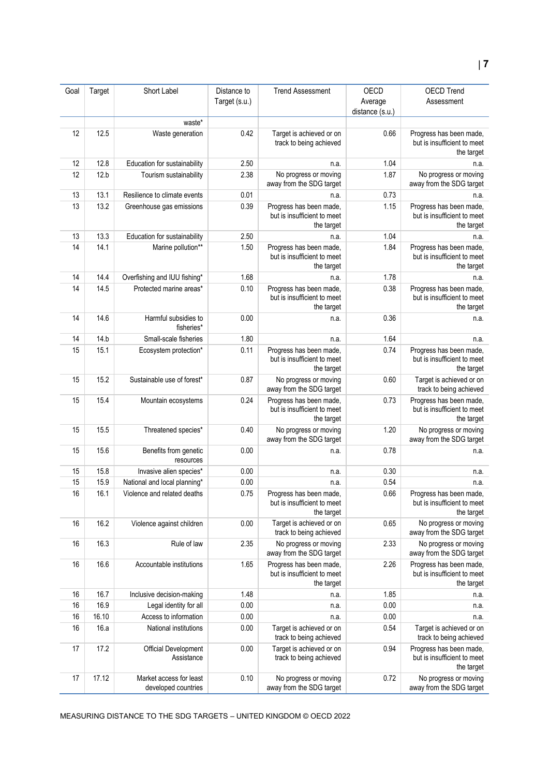| Goal | Target | Short Label                                    | Distance to   | <b>Trend Assessment</b>                                              | OECD            | <b>OECD Trend</b>                                                    |
|------|--------|------------------------------------------------|---------------|----------------------------------------------------------------------|-----------------|----------------------------------------------------------------------|
|      |        |                                                | Target (s.u.) |                                                                      | Average         | Assessment                                                           |
|      |        |                                                |               |                                                                      | distance (s.u.) |                                                                      |
|      |        | waste*                                         |               |                                                                      |                 |                                                                      |
| 12   | 12.5   | Waste generation                               | 0.42          | Target is achieved or on<br>track to being achieved                  | 0.66            | Progress has been made,<br>but is insufficient to meet<br>the target |
| 12   | 12.8   | Education for sustainability                   | 2.50          | n.a.                                                                 | 1.04            | n.a.                                                                 |
| 12   | 12.b   | Tourism sustainability                         | 2.38          | No progress or moving<br>away from the SDG target                    | 1.87            | No progress or moving<br>away from the SDG target                    |
| 13   | 13.1   | Resilience to climate events                   | 0.01          | n.a.                                                                 | 0.73            | n.a.                                                                 |
| 13   | 13.2   | Greenhouse gas emissions                       | 0.39          | Progress has been made,<br>but is insufficient to meet<br>the target | 1.15            | Progress has been made,<br>but is insufficient to meet<br>the target |
| 13   | 13.3   | Education for sustainability                   | 2.50          | n.a.                                                                 | 1.04            | n.a.                                                                 |
| 14   | 14.1   | Marine pollution**                             | 1.50          | Progress has been made,<br>but is insufficient to meet<br>the target | 1.84            | Progress has been made,<br>but is insufficient to meet<br>the target |
| 14   | 14.4   | Overfishing and IUU fishing*                   | 1.68          | n.a.                                                                 | 1.78            | n.a.                                                                 |
| 14   | 14.5   | Protected marine areas*                        | 0.10          | Progress has been made,<br>but is insufficient to meet<br>the target | 0.38            | Progress has been made,<br>but is insufficient to meet<br>the target |
| 14   | 14.6   | Harmful subsidies to<br>fisheries*             | 0.00          | n.a.                                                                 | 0.36            | n.a.                                                                 |
| 14   | 14.b   | Small-scale fisheries                          | 1.80          | n.a.                                                                 | 1.64            | n.a.                                                                 |
| 15   | 15.1   | Ecosystem protection*                          | 0.11          | Progress has been made,<br>but is insufficient to meet<br>the target | 0.74            | Progress has been made,<br>but is insufficient to meet<br>the target |
| 15   | 15.2   | Sustainable use of forest*                     | 0.87          | No progress or moving<br>away from the SDG target                    | 0.60            | Target is achieved or on<br>track to being achieved                  |
| 15   | 15.4   | Mountain ecosystems                            | 0.24          | Progress has been made,<br>but is insufficient to meet<br>the target | 0.73            | Progress has been made,<br>but is insufficient to meet<br>the target |
| 15   | 15.5   | Threatened species*                            | 0.40          | No progress or moving<br>away from the SDG target                    | 1.20            | No progress or moving<br>away from the SDG target                    |
| 15   | 15.6   | Benefits from genetic<br>resources             | 0.00          | n.a.                                                                 | 0.78            | n.a.                                                                 |
| 15   | 15.8   | Invasive alien species*                        | 0.00          | n.a.                                                                 | 0.30            | n.a.                                                                 |
| 15   | 15.9   | National and local planning*                   | 0.00          | n.a.                                                                 | 0.54            | n.a.                                                                 |
| 16   | 16.1   | Violence and related deaths                    | 0.75          | Progress has been made,<br>but is insufficient to meet<br>the target | 0.66            | Progress has been made,<br>but is insufficient to meet<br>the target |
| 16   | 16.2   | Violence against children                      | 0.00          | Target is achieved or on<br>track to being achieved                  | 0.65            | No progress or moving<br>away from the SDG target                    |
| 16   | 16.3   | Rule of law                                    | 2.35          | No progress or moving<br>away from the SDG target                    | 2.33            | No progress or moving<br>away from the SDG target                    |
| 16   | 16.6   | Accountable institutions                       | 1.65          | Progress has been made,<br>but is insufficient to meet<br>the target | 2.26            | Progress has been made,<br>but is insufficient to meet<br>the target |
| 16   | 16.7   | Inclusive decision-making                      | 1.48          | n.a.                                                                 | 1.85            | n.a.                                                                 |
| 16   | 16.9   | Legal identity for all                         | 0.00          | n.a.                                                                 | 0.00            | n.a.                                                                 |
| 16   | 16.10  | Access to information                          | 0.00          | n.a.                                                                 | 0.00            | n.a.                                                                 |
| 16   | 16.a   | National institutions                          | 0.00          | Target is achieved or on<br>track to being achieved                  | 0.54            | Target is achieved or on<br>track to being achieved                  |
| 17   | 17.2   | Official Development<br>Assistance             | 0.00          | Target is achieved or on<br>track to being achieved                  | 0.94            | Progress has been made,<br>but is insufficient to meet<br>the target |
| 17   | 17.12  | Market access for least<br>developed countries | 0.10          | No progress or moving<br>away from the SDG target                    | 0.72            | No progress or moving<br>away from the SDG target                    |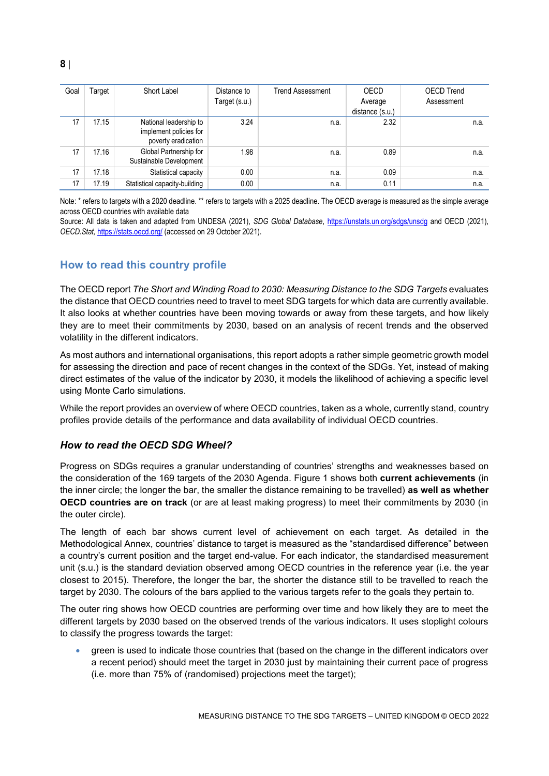| Goal | Гarget | Short Label                                                             | Distance to<br>Target (s.u.) | <b>Trend Assessment</b> | OECD<br>Average<br>distance (s.u.) | <b>OECD Trend</b><br>Assessment |
|------|--------|-------------------------------------------------------------------------|------------------------------|-------------------------|------------------------------------|---------------------------------|
| 17   | 17.15  | National leadership to<br>implement policies for<br>poverty eradication | 3.24                         | n.a.                    | 2.32                               | n.a.                            |
| 17   | 17.16  | Global Partnership for<br>Sustainable Development                       | 1.98                         | n.a.                    | 0.89                               | n.a.                            |
| 17   | 17.18  | Statistical capacity                                                    | 0.00                         | n.a.                    | 0.09                               | n.a.                            |
| 17   | 17.19  | Statistical capacity-building                                           | 0.00                         | n.a.                    | 0.11                               | n.a.                            |

Note: \* refers to targets with a 2020 deadline. \*\* refers to targets with a 2025 deadline. The OECD average is measured as the simple average across OECD countries with available data

Source: All data is taken and adapted from UNDESA (2021), *SDG Global Database*,<https://unstats.un.org/sdgs/unsdg> and OECD (2021), *OECD.Stat,* <https://stats.oecd.org/> (accessed on 29 October 2021).

## <span id="page-7-0"></span>**How to read this country profile**

The OECD report *The Short and Winding Road to 2030: Measuring Distance to the SDG Targets* evaluates the distance that OECD countries need to travel to meet SDG targets for which data are currently available. It also looks at whether countries have been moving towards or away from these targets, and how likely they are to meet their commitments by 2030, based on an analysis of recent trends and the observed volatility in the different indicators.

As most authors and international organisations, this report adopts a rather simple geometric growth model for assessing the direction and pace of recent changes in the context of the SDGs. Yet, instead of making direct estimates of the value of the indicator by 2030, it models the likelihood of achieving a specific level using Monte Carlo simulations.

While the report provides an overview of where OECD countries, taken as a whole, currently stand, country profiles provide details of the performance and data availability of individual OECD countries.

### *How to read the OECD SDG Wheel?*

Progress on SDGs requires a granular understanding of countries' strengths and weaknesses based on the consideration of the 169 targets of the 2030 Agenda. [Figure](#page-0-0) 1 shows both **current achievements** (in the inner circle; the longer the bar, the smaller the distance remaining to be travelled) **as well as whether OECD countries are on track** (or are at least making progress) to meet their commitments by 2030 (in the outer circle).

The length of each bar shows current level of achievement on each target. As detailed in the Methodological Annex, countries' distance to target is measured as the "standardised difference" between a country's current position and the target end-value. For each indicator, the standardised measurement unit (s.u.) is the standard deviation observed among OECD countries in the reference year (i.e. the year closest to 2015). Therefore, the longer the bar, the shorter the distance still to be travelled to reach the target by 2030. The colours of the bars applied to the various targets refer to the goals they pertain to.

The outer ring shows how OECD countries are performing over time and how likely they are to meet the different targets by 2030 based on the observed trends of the various indicators. It uses stoplight colours to classify the progress towards the target:

 green is used to indicate those countries that (based on the change in the different indicators over a recent period) should meet the target in 2030 just by maintaining their current pace of progress (i.e. more than 75% of (randomised) projections meet the target);